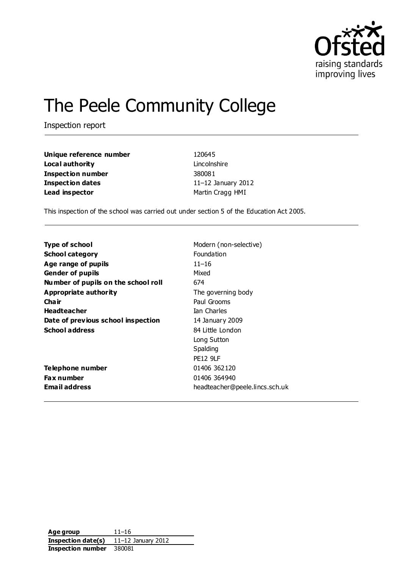

# The Peele Community College

Inspection report

| Unique reference number | 120645                |  |
|-------------------------|-----------------------|--|
| Local authority         | Lincolnshire          |  |
| Inspection number       | 380081                |  |
| Inspection dates        | 11 $-12$ January 2012 |  |
| Lead inspector          | Martin Cragg HMI      |  |

This inspection of the school was carried out under section 5 of the Education Act 2005.

| <b>Type of school</b>               | Modern (non-selective)         |
|-------------------------------------|--------------------------------|
| <b>School category</b>              | Foundation                     |
| Age range of pupils                 | $11 - 16$                      |
| <b>Gender of pupils</b>             | Mixed                          |
| Number of pupils on the school roll | 674                            |
| Appropriate authority               | The governing body             |
| Cha ir                              | Paul Grooms                    |
| <b>Headteacher</b>                  | Ian Charles                    |
| Date of previous school inspection  | 14 January 2009                |
| <b>School address</b>               | 84 Little London               |
|                                     | Long Sutton                    |
|                                     | Spalding                       |
|                                     | <b>PE12 9LF</b>                |
| Telephone number                    | 01406 362120                   |
| <b>Fax number</b>                   | 01406 364940                   |
| Email address                       | headteacher@peele.lincs.sch.uk |
|                                     |                                |

**Age group** 11–16 **Inspection date(s)** 11–12 January 2012 **Inspection number** 380081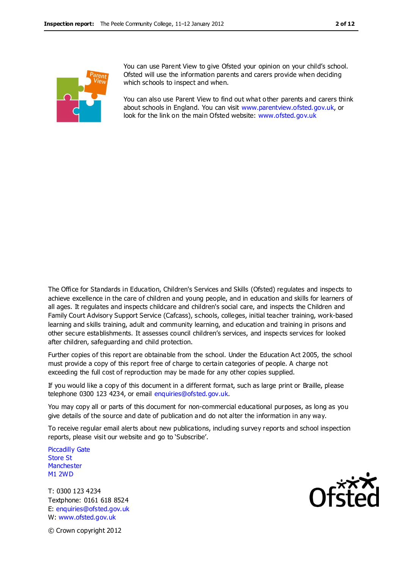

You can use Parent View to give Ofsted your opinion on your child's school. Ofsted will use the information parents and carers provide when deciding which schools to inspect and when.

You can also use Parent View to find out what other parents and carers think about schools in England. You can visit [www.parentview.ofsted.gov.uk,](http://www.parentview.ofsted.gov.uk/) or look for the link on the main Ofsted website: [www.ofsted.gov.uk](http://www.ofsted.gov.uk/)

The Office for Standards in Education, Children's Services and Skills (Ofsted) regulates and inspects to achieve excellence in the care of children and young people, and in education and skills for learners of all ages. It regulates and inspects childcare and children's social care, and inspects the Children and Family Court Advisory Support Service (Cafcass), schools, colleges, initial teacher training, work-based learning and skills training, adult and community learning, and education and training in prisons and other secure establishments. It assesses council children's services, and inspects services for looked after children, safeguarding and child protection.

Further copies of this report are obtainable from the school. Under the Education Act 2005, the school must provide a copy of this report free of charge to certain categories of people. A charge not exceeding the full cost of reproduction may be made for any other copies supplied.

If you would like a copy of this document in a different format, such as large print or Braille, please telephone 0300 123 4234, or email enquiries@ofsted.gov.uk.

You may copy all or parts of this document for non-commercial educational purposes, as long as you give details of the source and date of publication and do not alter the information in any way.

To receive regular email alerts about new publications, including survey reports and school inspection reports, please visit our website and go to 'Subscribe'.

Piccadilly Gate Store St **Manchester** M1 2WD

T: 0300 123 4234 Textphone: 0161 618 8524 E: enquiries@ofsted.gov.uk W: www.ofsted.gov.uk



© Crown copyright 2012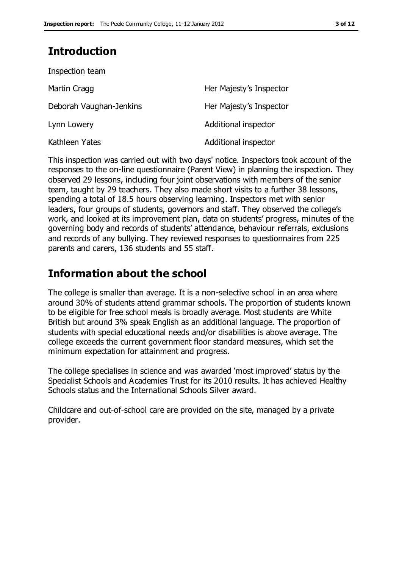### **Introduction**

| Inspection team         |                         |
|-------------------------|-------------------------|
| Martin Cragg            | Her Majesty's Inspector |
| Deborah Vaughan-Jenkins | Her Majesty's Inspector |
| Lynn Lowery             | Additional inspector    |
| Kathleen Yates          | Additional inspector    |

This inspection was carried out with two days' notice. Inspectors took account of the responses to the on-line questionnaire (Parent View) in planning the inspection. They observed 29 lessons, including four joint observations with members of the senior team, taught by 29 teachers. They also made short visits to a further 38 lessons, spending a total of 18.5 hours observing learning. Inspectors met with senior leaders, four groups of students, governors and staff. They observed the college's work, and looked at its improvement plan, data on students' progress, minutes of the governing body and records of students' attendance, behaviour referrals, exclusions and records of any bullying. They reviewed responses to questionnaires from 225 parents and carers, 136 students and 55 staff.

### **Information about the school**

The college is smaller than average. It is a non-selective school in an area where around 30% of students attend grammar schools. The proportion of students known to be eligible for free school meals is broadly average. Most students are White British but around 3% speak English as an additional language. The proportion of students with special educational needs and/or disabilities is above average. The college exceeds the current government floor standard measures, which set the minimum expectation for attainment and progress.

The college specialises in science and was awarded 'most improved' status by the Specialist Schools and Academies Trust for its 2010 results. It has achieved Healthy Schools status and the International Schools Silver award.

Childcare and out-of-school care are provided on the site, managed by a private provider.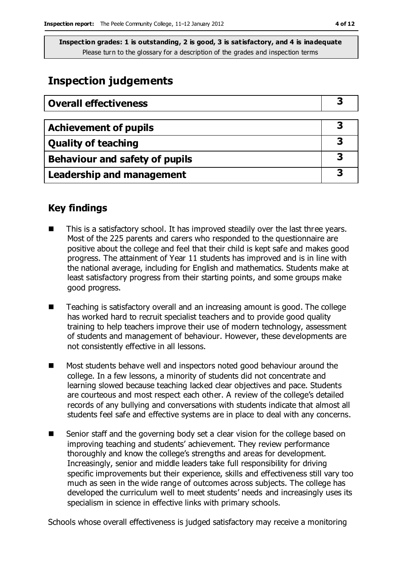### **Inspection judgements**

| <b>Overall effectiveness</b>   |   |
|--------------------------------|---|
|                                |   |
| <b>Achievement of pupils</b>   |   |
| <b>Quality of teaching</b>     |   |
| Behaviour and safety of pupils | 3 |
| Leadership and management      | З |

### **Key findings**

- This is a satisfactory school. It has improved steadily over the last three years. Most of the 225 parents and carers who responded to the questionnaire are positive about the college and feel that their child is kept safe and makes good progress. The attainment of Year 11 students has improved and is in line with the national average, including for English and mathematics. Students make at least satisfactory progress from their starting points, and some groups make good progress.
- Teaching is satisfactory overall and an increasing amount is good. The college has worked hard to recruit specialist teachers and to provide good quality training to help teachers improve their use of modern technology, assessment of students and management of behaviour. However, these developments are not consistently effective in all lessons.
- Most students behave well and inspectors noted good behaviour around the college. In a few lessons, a minority of students did not concentrate and learning slowed because teaching lacked clear objectives and pace. Students are courteous and most respect each other. A review of the college's detailed records of any bullying and conversations with students indicate that almost all students feel safe and effective systems are in place to deal with any concerns.
- Senior staff and the governing body set a clear vision for the college based on improving teaching and students' achievement. They review performance thoroughly and know the college's strengths and areas for development. Increasingly, senior and middle leaders take full responsibility for driving specific improvements but their experience, skills and effectiveness still vary too much as seen in the wide range of outcomes across subjects. The college has developed the curriculum well to meet students' needs and increasingly uses its specialism in science in effective links with primary schools.

Schools whose overall effectiveness is judged satisfactory may receive a monitoring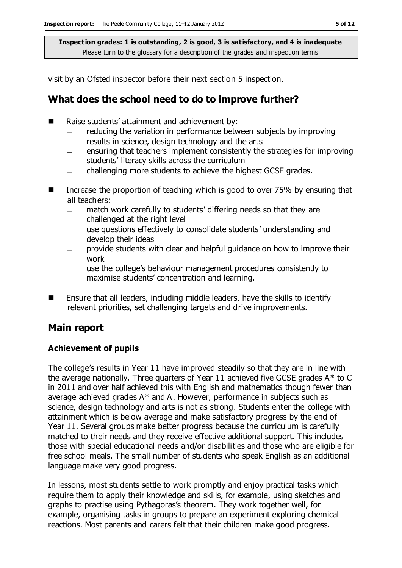visit by an Ofsted inspector before their next section 5 inspection.

### **What does the school need to do to improve further?**

- Raise students' attainment and achievement by:
	- reducing the variation in performance between subjects by improving results in science, design technology and the arts
	- ensuring that teachers implement consistently the strategies for improving students' literacy skills across the curriculum
	- challenging more students to achieve the highest GCSE grades.  $\overline{\phantom{0}}$
- Increase the proportion of teaching which is good to over 75% by ensuring that all teachers:
	- match work carefully to students' differing needs so that they are  $\equiv$ challenged at the right level
	- use questions effectively to consolidate students' understanding and develop their ideas
	- provide students with clear and helpful guidance on how to improve their work
	- use the college's behaviour management procedures consistently to maximise students' concentration and learning.
- Ensure that all leaders, including middle leaders, have the skills to identify relevant priorities, set challenging targets and drive improvements.

### **Main report**

### **Achievement of pupils**

The college's results in Year 11 have improved steadily so that they are in line with the average nationally. Three quarters of Year 11 achieved five GCSE grades  $A^*$  to C in 2011 and over half achieved this with English and mathematics though fewer than average achieved grades  $A^*$  and A. However, performance in subjects such as science, design technology and arts is not as strong. Students enter the college with attainment which is below average and make satisfactory progress by the end of Year 11. Several groups make better progress because the curriculum is carefully matched to their needs and they receive effective additional support. This includes those with special educational needs and/or disabilities and those who are eligible for free school meals. The small number of students who speak English as an additional language make very good progress.

In lessons, most students settle to work promptly and enjoy practical tasks which require them to apply their knowledge and skills, for example, using sketches and graphs to practise using Pythagoras's theorem. They work together well, for example, organising tasks in groups to prepare an experiment exploring chemical reactions. Most parents and carers felt that their children make good progress.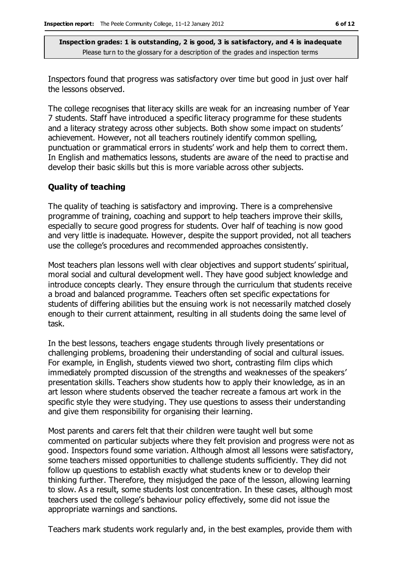Inspectors found that progress was satisfactory over time but good in just over half the lessons observed.

The college recognises that literacy skills are weak for an increasing number of Year 7 students. Staff have introduced a specific literacy programme for these students and a literacy strategy across other subjects. Both show some impact on students' achievement. However, not all teachers routinely identify common spelling, punctuation or grammatical errors in students' work and help them to correct them. In English and mathematics lessons, students are aware of the need to practise and develop their basic skills but this is more variable across other subjects.

#### **Quality of teaching**

The quality of teaching is satisfactory and improving. There is a comprehensive programme of training, coaching and support to help teachers improve their skills, especially to secure good progress for students. Over half of teaching is now good and very little is inadequate. However, despite the support provided, not all teachers use the college's procedures and recommended approaches consistently.

Most teachers plan lessons well with clear objectives and support students' spiritual, moral social and cultural development well. They have good subject knowledge and introduce concepts clearly. They ensure through the curriculum that students receive a broad and balanced programme. Teachers often set specific expectations for students of differing abilities but the ensuing work is not necessarily matched closely enough to their current attainment, resulting in all students doing the same level of task.

In the best lessons, teachers engage students through lively presentations or challenging problems, broadening their understanding of social and cultural issues. For example, in English, students viewed two short, contrasting film clips which immediately prompted discussion of the strengths and weaknesses of the speakers' presentation skills. Teachers show students how to apply their knowledge, as in an art lesson where students observed the teacher recreate a famous art work in the specific style they were studying. They use questions to assess their understanding and give them responsibility for organising their learning.

Most parents and carers felt that their children were taught well but some commented on particular subjects where they felt provision and progress were not as good. Inspectors found some variation. Although almost all lessons were satisfactory, some teachers missed opportunities to challenge students sufficiently. They did not follow up questions to establish exactly what students knew or to develop their thinking further. Therefore, they misjudged the pace of the lesson, allowing learning to slow. As a result, some students lost concentration. In these cases, although most teachers used the college's behaviour policy effectively, some did not issue the appropriate warnings and sanctions.

Teachers mark students work regularly and, in the best examples, provide them with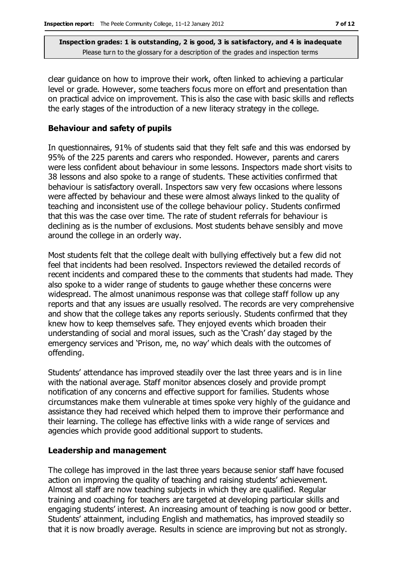clear guidance on how to improve their work, often linked to achieving a particular level or grade. However, some teachers focus more on effort and presentation than on practical advice on improvement. This is also the case with basic skills and reflects the early stages of the introduction of a new literacy strategy in the college.

#### **Behaviour and safety of pupils**

In questionnaires, 91% of students said that they felt safe and this was endorsed by 95% of the 225 parents and carers who responded. However, parents and carers were less confident about behaviour in some lessons. Inspectors made short visits to 38 lessons and also spoke to a range of students. These activities confirmed that behaviour is satisfactory overall. Inspectors saw very few occasions where lessons were affected by behaviour and these were almost always linked to the quality of teaching and inconsistent use of the college behaviour policy. Students confirmed that this was the case over time. The rate of student referrals for behaviour is declining as is the number of exclusions. Most students behave sensibly and move around the college in an orderly way.

Most students felt that the college dealt with bullying effectively but a few did not feel that incidents had been resolved. Inspectors reviewed the detailed records of recent incidents and compared these to the comments that students had made. They also spoke to a wider range of students to gauge whether these concerns were widespread. The almost unanimous response was that college staff follow up any reports and that any issues are usually resolved. The records are very comprehensive and show that the college takes any reports seriously. Students confirmed that they knew how to keep themselves safe. They enjoyed events which broaden their understanding of social and moral issues, such as the 'Crash' day staged by the emergency services and 'Prison, me, no way' which deals with the outcomes of offending.

Students' attendance has improved steadily over the last three years and is in line with the national average. Staff monitor absences closely and provide prompt notification of any concerns and effective support for families. Students whose circumstances make them vulnerable at times spoke very highly of the guidance and assistance they had received which helped them to improve their performance and their learning. The college has effective links with a wide range of services and agencies which provide good additional support to students.

#### **Leadership and management**

The college has improved in the last three years because senior staff have focused action on improving the quality of teaching and raising students' achievement. Almost all staff are now teaching subjects in which they are qualified. Regular training and coaching for teachers are targeted at developing particular skills and engaging students' interest. An increasing amount of teaching is now good or better. Students' attainment, including English and mathematics, has improved steadily so that it is now broadly average. Results in science are improving but not as strongly.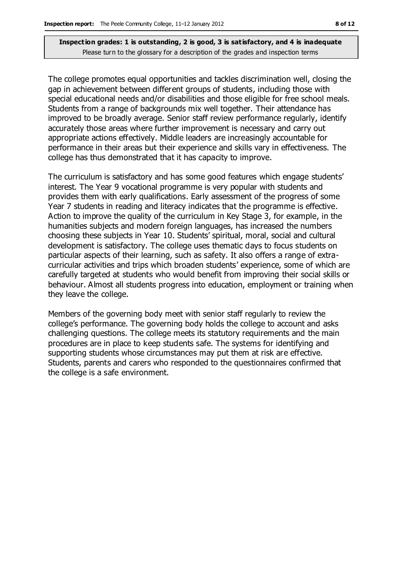The college promotes equal opportunities and tackles discrimination well, closing the gap in achievement between different groups of students, including those with special educational needs and/or disabilities and those eligible for free school meals. Students from a range of backgrounds mix well together. Their attendance has improved to be broadly average. Senior staff review performance regularly, identify accurately those areas where further improvement is necessary and carry out appropriate actions effectively. Middle leaders are increasingly accountable for performance in their areas but their experience and skills vary in effectiveness. The college has thus demonstrated that it has capacity to improve.

The curriculum is satisfactory and has some good features which engage students' interest. The Year 9 vocational programme is very popular with students and provides them with early qualifications. Early assessment of the progress of some Year 7 students in reading and literacy indicates that the programme is effective. Action to improve the quality of the curriculum in Key Stage 3, for example, in the humanities subjects and modern foreign languages, has increased the numbers choosing these subjects in Year 10. Students' spiritual, moral, social and cultural development is satisfactory. The college uses thematic days to focus students on particular aspects of their learning, such as safety. It also offers a range of extracurricular activities and trips which broaden students' experience, some of which are carefully targeted at students who would benefit from improving their social skills or behaviour. Almost all students progress into education, employment or training when they leave the college.

Members of the governing body meet with senior staff regularly to review the college's performance. The governing body holds the college to account and asks challenging questions. The college meets its statutory requirements and the main procedures are in place to keep students safe. The systems for identifying and supporting students whose circumstances may put them at risk are effective. Students, parents and carers who responded to the questionnaires confirmed that the college is a safe environment.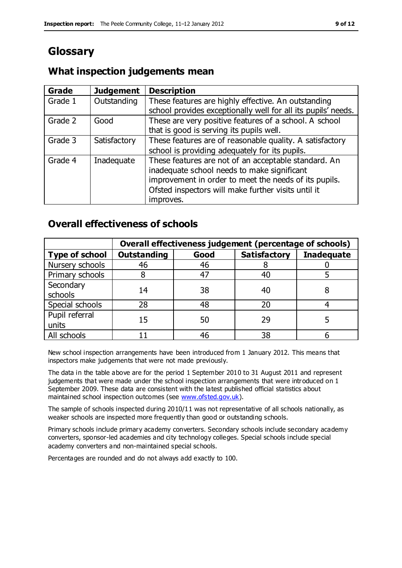## **Glossary**

### **What inspection judgements mean**

| Grade   | <b>Judgement</b> | <b>Description</b>                                            |
|---------|------------------|---------------------------------------------------------------|
| Grade 1 | Outstanding      | These features are highly effective. An outstanding           |
|         |                  | school provides exceptionally well for all its pupils' needs. |
| Grade 2 | Good             | These are very positive features of a school. A school        |
|         |                  | that is good is serving its pupils well.                      |
| Grade 3 | Satisfactory     | These features are of reasonable quality. A satisfactory      |
|         |                  | school is providing adequately for its pupils.                |
| Grade 4 | Inadequate       | These features are not of an acceptable standard. An          |
|         |                  | inadequate school needs to make significant                   |
|         |                  | improvement in order to meet the needs of its pupils.         |
|         |                  | Ofsted inspectors will make further visits until it           |
|         |                  | improves.                                                     |

### **Overall effectiveness of schools**

|                         | Overall effectiveness judgement (percentage of schools) |      |                     |                   |
|-------------------------|---------------------------------------------------------|------|---------------------|-------------------|
| <b>Type of school</b>   | <b>Outstanding</b>                                      | Good | <b>Satisfactory</b> | <b>Inadequate</b> |
| Nursery schools         | 46                                                      | 46   |                     |                   |
| Primary schools         |                                                         | 47   | 40                  |                   |
| Secondary<br>schools    | 14                                                      | 38   | 40                  |                   |
| Special schools         | 28                                                      | 48   | 20                  |                   |
| Pupil referral<br>units | 15                                                      | 50   | 29                  |                   |
| All schools             |                                                         | 46   | 38                  |                   |

New school inspection arrangements have been introduced from 1 January 2012. This means that inspectors make judgements that were not made previously.

The data in the table above are for the period 1 September 2010 to 31 August 2011 and represent judgements that were made under the school inspection arrangements that were introduced on 1 September 2009. These data are consistent with the latest published official statistics about maintained school inspection outcomes (see [www.ofsted.gov.uk\)](http://www.ofsted.gov.uk/).

The sample of schools inspected during 2010/11 was not representative of all schools nationally, as weaker schools are inspected more frequently than good or outstanding schools.

Primary schools include primary academy converters. Secondary schools include secondary academy converters, sponsor-led academies and city technology colleges. Special schools include special academy converters and non-maintained special schools.

Percentages are rounded and do not always add exactly to 100.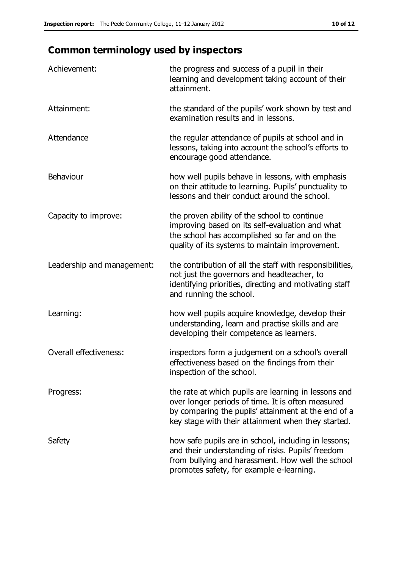## **Common terminology used by inspectors**

| Achievement:                  | the progress and success of a pupil in their<br>learning and development taking account of their<br>attainment.                                                                                                        |
|-------------------------------|------------------------------------------------------------------------------------------------------------------------------------------------------------------------------------------------------------------------|
| Attainment:                   | the standard of the pupils' work shown by test and<br>examination results and in lessons.                                                                                                                              |
| Attendance                    | the regular attendance of pupils at school and in<br>lessons, taking into account the school's efforts to<br>encourage good attendance.                                                                                |
| Behaviour                     | how well pupils behave in lessons, with emphasis<br>on their attitude to learning. Pupils' punctuality to<br>lessons and their conduct around the school.                                                              |
| Capacity to improve:          | the proven ability of the school to continue<br>improving based on its self-evaluation and what<br>the school has accomplished so far and on the<br>quality of its systems to maintain improvement.                    |
| Leadership and management:    | the contribution of all the staff with responsibilities,<br>not just the governors and headteacher, to<br>identifying priorities, directing and motivating staff<br>and running the school.                            |
| Learning:                     | how well pupils acquire knowledge, develop their<br>understanding, learn and practise skills and are<br>developing their competence as learners.                                                                       |
| <b>Overall effectiveness:</b> | inspectors form a judgement on a school's overall<br>effectiveness based on the findings from their<br>inspection of the school.                                                                                       |
| Progress:                     | the rate at which pupils are learning in lessons and<br>over longer periods of time. It is often measured<br>by comparing the pupils' attainment at the end of a<br>key stage with their attainment when they started. |
| Safety                        | how safe pupils are in school, including in lessons;<br>and their understanding of risks. Pupils' freedom<br>from bullying and harassment. How well the school<br>promotes safety, for example e-learning.             |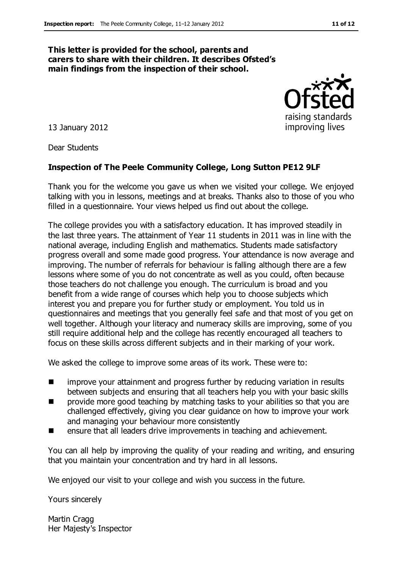#### **This letter is provided for the school, parents and carers to share with their children. It describes Ofsted's main findings from the inspection of their school.**

13 January 2012

Dear Students

#### **Inspection of The Peele Community College, Long Sutton PE12 9LF**

Thank you for the welcome you gave us when we visited your college. We enjoyed talking with you in lessons, meetings and at breaks. Thanks also to those of you who filled in a questionnaire. Your views helped us find out about the college.

The college provides you with a satisfactory education. It has improved steadily in the last three years. The attainment of Year 11 students in 2011 was in line with the national average, including English and mathematics. Students made satisfactory progress overall and some made good progress. Your attendance is now average and improving. The number of referrals for behaviour is falling although there are a few lessons where some of you do not concentrate as well as you could, often because those teachers do not challenge you enough. The curriculum is broad and you benefit from a wide range of courses which help you to choose subjects which interest you and prepare you for further study or employment. You told us in questionnaires and meetings that you generally feel safe and that most of you get on well together. Although your literacy and numeracy skills are improving, some of you still require additional help and the college has recently encouraged all teachers to focus on these skills across different subjects and in their marking of your work.

We asked the college to improve some areas of its work. These were to:

- **IF** improve your attainment and progress further by reducing variation in results between subjects and ensuring that all teachers help you with your basic skills
- **n** provide more good teaching by matching tasks to your abilities so that you are challenged effectively, giving you clear guidance on how to improve your work and managing your behaviour more consistently
- **EXECUTE:** ensure that all leaders drive improvements in teaching and achievement.

You can all help by improving the quality of your reading and writing, and ensuring that you maintain your concentration and try hard in all lessons.

We enjoyed our visit to your college and wish you success in the future.

Yours sincerely

Martin Cragg Her Majesty's Inspector